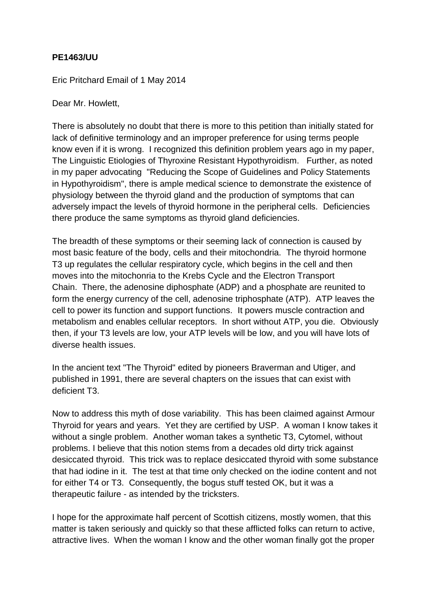## **PE1463/UU**

Eric Pritchard Email of 1 May 2014

Dear Mr. Howlett,

There is absolutely no doubt that there is more to this petition than initially stated for lack of definitive terminology and an improper preference for using terms people know even if it is wrong. I recognized this definition problem years ago in my paper, The Linguistic Etiologies of Thyroxine Resistant Hypothyroidism. Further, as noted in my paper advocating "Reducing the Scope of Guidelines and Policy Statements in Hypothyroidism", there is ample medical science to demonstrate the existence of physiology between the thyroid gland and the production of symptoms that can adversely impact the levels of thyroid hormone in the peripheral cells. Deficiencies there produce the same symptoms as thyroid gland deficiencies.

The breadth of these symptoms or their seeming lack of connection is caused by most basic feature of the body, cells and their mitochondria. The thyroid hormone T3 up regulates the cellular respiratory cycle, which begins in the cell and then moves into the mitochonria to the Krebs Cycle and the Electron Transport Chain. There, the adenosine diphosphate (ADP) and a phosphate are reunited to form the energy currency of the cell, adenosine triphosphate (ATP). ATP leaves the cell to power its function and support functions. It powers muscle contraction and metabolism and enables cellular receptors. In short without ATP, you die. Obviously then, if your T3 levels are low, your ATP levels will be low, and you will have lots of diverse health issues.

In the ancient text "The Thyroid" edited by pioneers Braverman and Utiger, and published in 1991, there are several chapters on the issues that can exist with deficient T3.

Now to address this myth of dose variability. This has been claimed against Armour Thyroid for years and years. Yet they are certified by USP. A woman I know takes it without a single problem. Another woman takes a synthetic T3, Cytomel, without problems. I believe that this notion stems from a decades old dirty trick against desiccated thyroid. This trick was to replace desiccated thyroid with some substance that had iodine in it. The test at that time only checked on the iodine content and not for either T4 or T3. Consequently, the bogus stuff tested OK, but it was a therapeutic failure - as intended by the tricksters.

I hope for the approximate half percent of Scottish citizens, mostly women, that this matter is taken seriously and quickly so that these afflicted folks can return to active, attractive lives. When the woman I know and the other woman finally got the proper